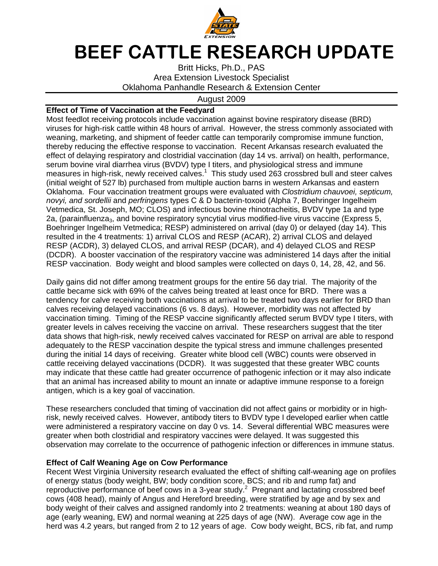

## BEEF CATTLE RESEARCH UPDATE

Britt Hicks, Ph.D., PAS Area Extension Livestock Specialist Oklahoma Panhandle Research & Extension Center

## August 2009

## **Effect of Time of Vaccination at the Feedyard**

Most feedlot receiving protocols include vaccination against bovine respiratory disease (BRD) viruses for high-risk cattle within 48 hours of arrival. However, the stress commonly associated with weaning, marketing, and shipment of feeder cattle can temporarily compromise immune function, thereby reducing the effective response to vaccination. Recent Arkansas research evaluated the effect of delaying respiratory and clostridial vaccination (day 14 vs. arrival) on health, performance, serum bovine viral diarrhea virus (BVDV) type I titers, and physiological stress and immune measures in high-risk, newly received calves. $1$  This study used 263 crossbred bull and steer calves (initial weight of 527 lb) purchased from multiple auction barns in western Arkansas and eastern Oklahoma. Four vaccination treatment groups were evaluated with Clostridium chauvoei, septicum, novyi, and sordellii and perfringens types C & D bacterin-toxoid (Alpha 7, Boehringer Ingelheim Vetmedica, St. Joseph, MO; CLOS) and infectious bovine rhinotracheitis, BVDV type 1a and type 2a, (parainfluenza<sub>3</sub>, and bovine respiratory syncytial virus modified-live virus vaccine (Express 5, Boehringer Ingelheim Vetmedica; RESP) administered on arrival (day 0) or delayed (day 14). This resulted in the 4 treatments: 1) arrival CLOS and RESP (ACAR), 2) arrival CLOS and delayed RESP (ACDR), 3) delayed CLOS, and arrival RESP (DCAR), and 4) delayed CLOS and RESP (DCDR). A booster vaccination of the respiratory vaccine was administered 14 days after the initial RESP vaccination. Body weight and blood samples were collected on days 0, 14, 28, 42, and 56.

Daily gains did not differ among treatment groups for the entire 56 day trial. The majority of the cattle became sick with 69% of the calves being treated at least once for BRD. There was a tendency for calve receiving both vaccinations at arrival to be treated two days earlier for BRD than calves receiving delayed vaccinations (6 vs. 8 days). However, morbidity was not affected by vaccination timing. Timing of the RESP vaccine significantly affected serum BVDV type I titers, with greater levels in calves receiving the vaccine on arrival. These researchers suggest that the titer data shows that high-risk, newly received calves vaccinated for RESP on arrival are able to respond adequately to the RESP vaccination despite the typical stress and immune challenges presented during the initial 14 days of receiving. Greater white blood cell (WBC) counts were observed in cattle receiving delayed vaccinations (DCDR). It was suggested that these greater WBC counts may indicate that these cattle had greater occurrence of pathogenic infection or it may also indicate that an animal has increased ability to mount an innate or adaptive immune response to a foreign antigen, which is a key goal of vaccination.

These researchers concluded that timing of vaccination did not affect gains or morbidity or in highrisk, newly received calves. However, antibody titers to BVDV type I developed earlier when cattle were administered a respiratory vaccine on day 0 vs. 14. Several differential WBC measures were greater when both clostridial and respiratory vaccines were delayed. It was suggested this observation may correlate to the occurrence of pathogenic infection or differences in immune status.

## **Effect of Calf Weaning Age on Cow Performance**

Recent West Virginia University research evaluated the effect of shifting calf-weaning age on profiles of energy status (body weight, BW; body condition score, BCS; and rib and rump fat) and reproductive performance of beef cows in a 3-year study.<sup>2</sup> Pregnant and lactating crossbred beef cows (408 head), mainly of Angus and Hereford breeding, were stratified by age and by sex and body weight of their calves and assigned randomly into 2 treatments: weaning at about 180 days of age (early weaning, EW) and normal weaning at 225 days of age (NW). Average cow age in the herd was 4.2 years, but ranged from 2 to 12 years of age. Cow body weight, BCS, rib fat, and rump